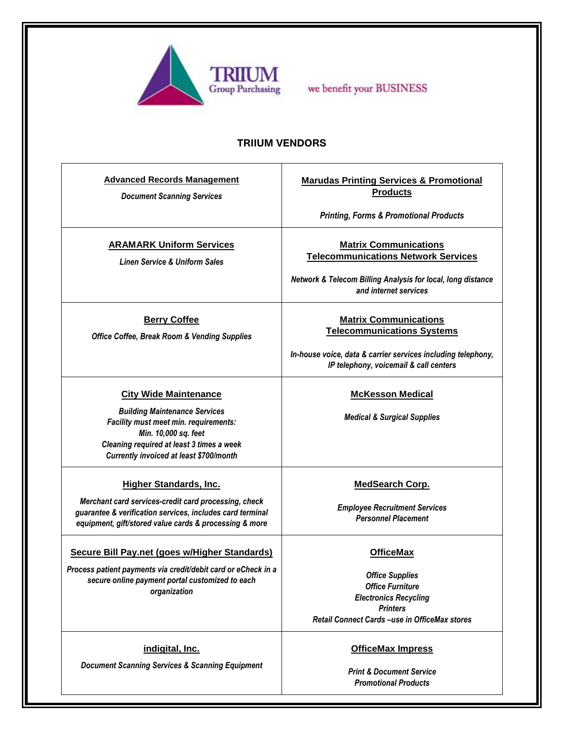

we benefit your BUSINESS

## **TRIIUM VENDORS**

| <b>Advanced Records Management</b><br><b>Document Scanning Services</b>                                                                                                                                                              | <b>Marudas Printing Services &amp; Promotional</b><br><b>Products</b><br><b>Printing, Forms &amp; Promotional Products</b>                                                  |
|--------------------------------------------------------------------------------------------------------------------------------------------------------------------------------------------------------------------------------------|-----------------------------------------------------------------------------------------------------------------------------------------------------------------------------|
| <b>ARAMARK Uniform Services</b><br><b>Linen Service &amp; Uniform Sales</b>                                                                                                                                                          | <b>Matrix Communications</b><br><b>Telecommunications Network Services</b><br>Network & Telecom Billing Analysis for local, long distance<br>and internet services          |
| <b>Berry Coffee</b><br><b>Office Coffee, Break Room &amp; Vending Supplies</b>                                                                                                                                                       | <b>Matrix Communications</b><br><b>Telecommunications Systems</b><br>In-house voice, data & carrier services including telephony,<br>IP telephony, voicemail & call centers |
| <b>City Wide Maintenance</b><br><b>Building Maintenance Services</b><br>Facility must meet min. requirements:<br>Min. 10,000 sq. feet<br>Cleaning required at least 3 times a week<br><b>Currently invoiced at least \$700/month</b> | <b>McKesson Medical</b><br><b>Medical &amp; Surgical Supplies</b>                                                                                                           |
| <b>Higher Standards, Inc.</b><br>Merchant card services-credit card processing, check<br>guarantee & verification services, includes card terminal<br>equipment, gift/stored value cards & processing & more                         | <b>MedSearch Corp.</b><br><b>Employee Recruitment Services</b><br><b>Personnel Placement</b>                                                                                |
| Secure Bill Pay.net (goes w/Higher Standards)<br>Process patient payments via credit/debit card or eCheck in a<br>secure online payment portal customized to each<br>organization                                                    | <b>OfficeMax</b><br><b>Office Supplies</b><br><b>Office Furniture</b><br><b>Electronics Recycling</b><br><b>Printers</b><br>Retail Connect Cards -use in OfficeMax stores   |
| indigital, Inc.<br><b>Document Scanning Services &amp; Scanning Equipment</b>                                                                                                                                                        | <b>OfficeMax Impress</b><br><b>Print &amp; Document Service</b><br><b>Promotional Products</b>                                                                              |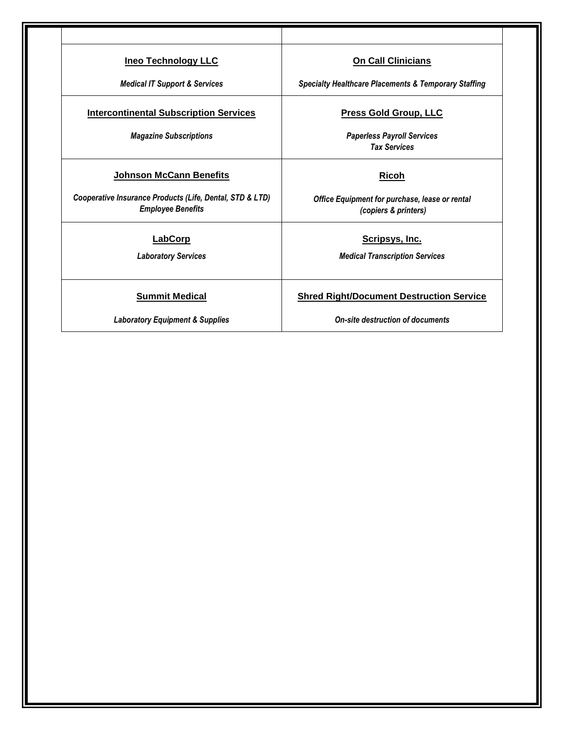| <b>Ineo Technology LLC</b>                                                           | <b>On Call Clinicians</b>                                              |
|--------------------------------------------------------------------------------------|------------------------------------------------------------------------|
| <b>Medical IT Support &amp; Services</b>                                             | <b>Specialty Healthcare Placements &amp; Temporary Staffing</b>        |
| <b>Intercontinental Subscription Services</b>                                        | <b>Press Gold Group, LLC</b>                                           |
| <b>Magazine Subscriptions</b>                                                        | <b>Paperless Payroll Services</b><br><b>Tax Services</b>               |
| <b>Johnson McCann Benefits</b>                                                       | <b>Ricoh</b>                                                           |
| Cooperative Insurance Products (Life, Dental, STD & LTD)<br><b>Employee Benefits</b> | Office Equipment for purchase, lease or rental<br>(copiers & printers) |
| LabCorp                                                                              | Scripsys, Inc.                                                         |
| <b>Laboratory Services</b>                                                           | <b>Medical Transcription Services</b>                                  |
| <b>Summit Medical</b>                                                                | <b>Shred Right/Document Destruction Service</b>                        |
| <b>Laboratory Equipment &amp; Supplies</b>                                           | On-site destruction of documents                                       |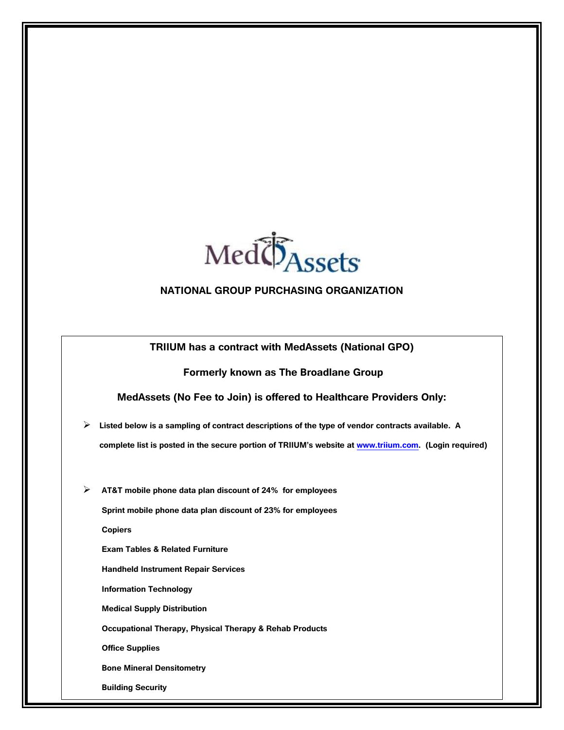

## **NATIONAL GROUP PURCHASING ORGANIZATION**

**TRIIUM has a contract with MedAssets (National GPO)**

## **Formerly known as The Broadlane Group**

**MedAssets (No Fee to Join) is offered to Healthcare Providers Only:**

- **Listed below is a sampling of contract descriptions of the type of vendor contracts available. A complete list is posted in the secure portion of TRIIUM's website at [www.triium.com.](http://www.triium.com/) (Login required)**
- **AT&T mobile phone data plan discount of 24% for employees**

**Sprint mobile phone data plan discount of 23% for employees** 

**Copiers**

**Exam Tables & Related Furniture**

**Handheld Instrument Repair Services**

**Information Technology**

**Medical Supply Distribution**

**Occupational Therapy, Physical Therapy & Rehab Products**

**Office Supplies**

**Bone Mineral Densitometry**

**Building Security**